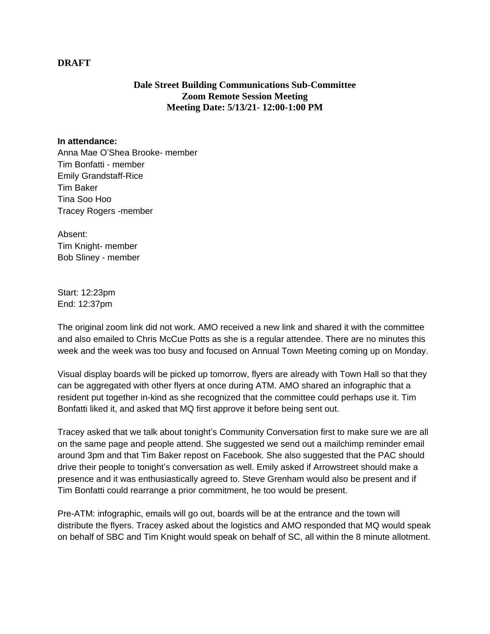## **DRAFT**

## **Dale Street Building Communications Sub-Committee Zoom Remote Session Meeting Meeting Date: 5/13/21- 12:00-1:00 PM**

## **In attendance:**

Anna Mae O'Shea Brooke- member Tim Bonfatti - member Emily Grandstaff-Rice Tim Baker Tina Soo Hoo Tracey Rogers -member

Absent: Tim Knight- member Bob Sliney - member

Start: 12:23pm End: 12:37pm

The original zoom link did not work. AMO received a new link and shared it with the committee and also emailed to Chris McCue Potts as she is a regular attendee. There are no minutes this week and the week was too busy and focused on Annual Town Meeting coming up on Monday.

Visual display boards will be picked up tomorrow, flyers are already with Town Hall so that they can be aggregated with other flyers at once during ATM. AMO shared an infographic that a resident put together in-kind as she recognized that the committee could perhaps use it. Tim Bonfatti liked it, and asked that MQ first approve it before being sent out.

Tracey asked that we talk about tonight's Community Conversation first to make sure we are all on the same page and people attend. She suggested we send out a mailchimp reminder email around 3pm and that Tim Baker repost on Facebook. She also suggested that the PAC should drive their people to tonight's conversation as well. Emily asked if Arrowstreet should make a presence and it was enthusiastically agreed to. Steve Grenham would also be present and if Tim Bonfatti could rearrange a prior commitment, he too would be present.

Pre-ATM: infographic, emails will go out, boards will be at the entrance and the town will distribute the flyers. Tracey asked about the logistics and AMO responded that MQ would speak on behalf of SBC and Tim Knight would speak on behalf of SC, all within the 8 minute allotment.